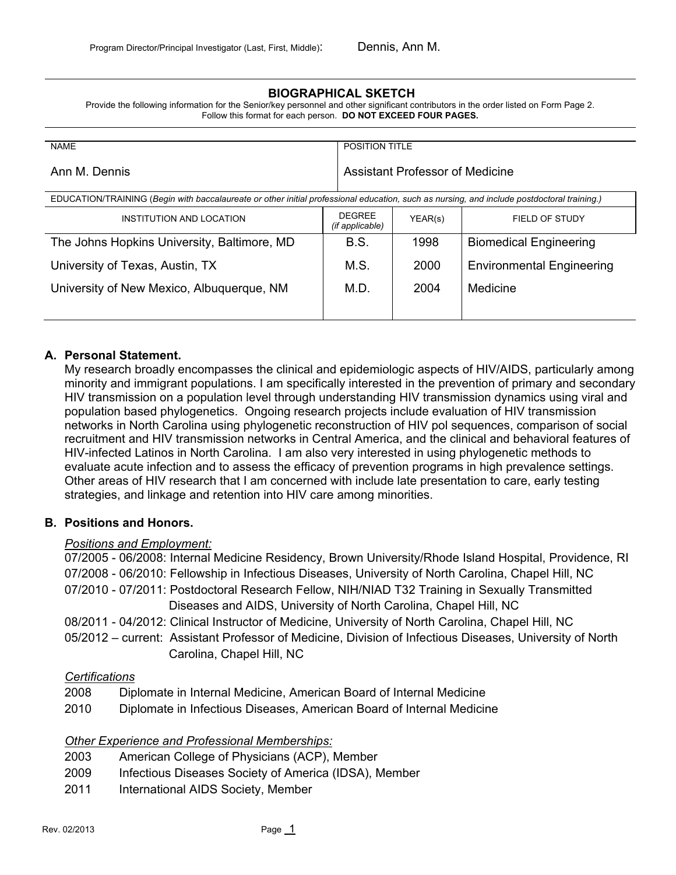### **BIOGRAPHICAL SKETCH**

Provide the following information for the Senior/key personnel and other significant contributors in the order listed on Form Page 2. Follow this format for each person. **DO NOT EXCEED FOUR PAGES.**

| <b>NAME</b>                                                                                                                                |                                         | <b>POSITION TITLE</b>                  |                                  |  |
|--------------------------------------------------------------------------------------------------------------------------------------------|-----------------------------------------|----------------------------------------|----------------------------------|--|
| Ann M. Dennis                                                                                                                              |                                         | <b>Assistant Professor of Medicine</b> |                                  |  |
| EDUCATION/TRAINING (Begin with baccalaureate or other initial professional education, such as nursing, and include postdoctoral training.) |                                         |                                        |                                  |  |
| INSTITUTION AND LOCATION                                                                                                                   | <b>DEGREE</b><br><i>(if applicable)</i> | YEAR(s)                                | FIELD OF STUDY                   |  |
| The Johns Hopkins University, Baltimore, MD                                                                                                | B.S.                                    | 1998                                   | <b>Biomedical Engineering</b>    |  |
| University of Texas, Austin, TX                                                                                                            | M.S.                                    | 2000                                   | <b>Environmental Engineering</b> |  |
| University of New Mexico, Albuquerque, NM                                                                                                  | M.D.                                    | 2004                                   | Medicine                         |  |
|                                                                                                                                            |                                         |                                        |                                  |  |

### **A. Personal Statement.**

My research broadly encompasses the clinical and epidemiologic aspects of HIV/AIDS, particularly among minority and immigrant populations. I am specifically interested in the prevention of primary and secondary HIV transmission on a population level through understanding HIV transmission dynamics using viral and population based phylogenetics. Ongoing research projects include evaluation of HIV transmission networks in North Carolina using phylogenetic reconstruction of HIV pol sequences, comparison of social recruitment and HIV transmission networks in Central America, and the clinical and behavioral features of HIV-infected Latinos in North Carolina. I am also very interested in using phylogenetic methods to evaluate acute infection and to assess the efficacy of prevention programs in high prevalence settings. Other areas of HIV research that I am concerned with include late presentation to care, early testing strategies, and linkage and retention into HIV care among minorities.

#### **B. Positions and Honors.**

#### *Positions and Employment:*

07/2005 - 06/2008: Internal Medicine Residency, Brown University/Rhode Island Hospital, Providence, RI 07/2008 - 06/2010: Fellowship in Infectious Diseases, University of North Carolina, Chapel Hill, NC 07/2010 - 07/2011: Postdoctoral Research Fellow, NIH/NIAD T32 Training in Sexually Transmitted Diseases and AIDS, University of North Carolina, Chapel Hill, NC 08/2011 - 04/2012: Clinical Instructor of Medicine, University of North Carolina, Chapel Hill, NC

05/2012 – current: Assistant Professor of Medicine, Division of Infectious Diseases, University of North Carolina, Chapel Hill, NC

#### *Certifications*

- 2008 Diplomate in Internal Medicine, American Board of Internal Medicine
- 2010 Diplomate in Infectious Diseases, American Board of Internal Medicine

#### *Other Experience and Professional Memberships:*

- 2003 American College of Physicians (ACP), Member
- 2009 Infectious Diseases Society of America (IDSA), Member
- 2011 International AIDS Society, Member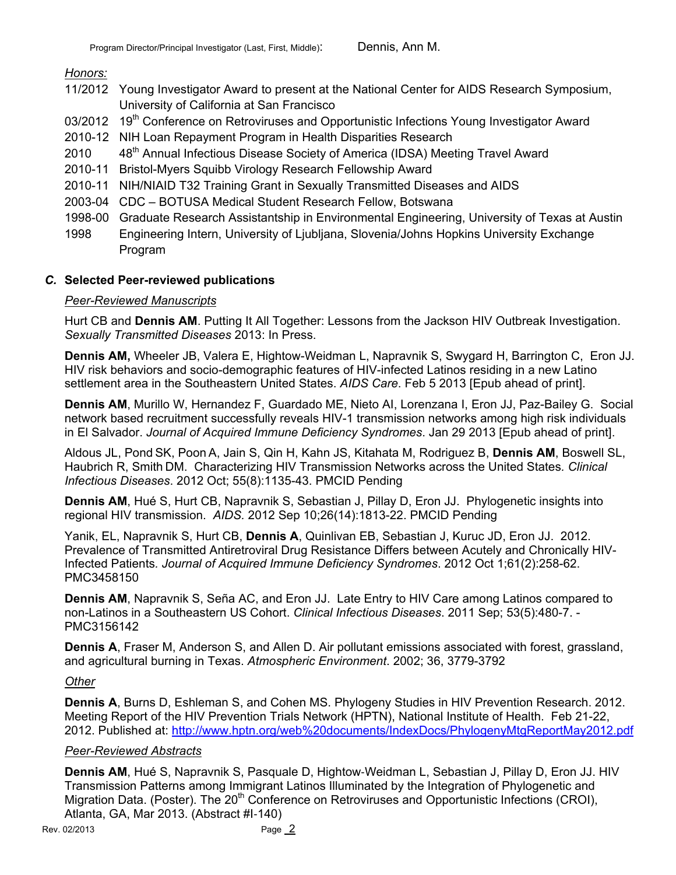## *Honors:*

- 11/2012 Young Investigator Award to present at the National Center for AIDS Research Symposium, University of California at San Francisco
- 03/2012 19<sup>th</sup> Conference on Retroviruses and Opportunistic Infections Young Investigator Award
- 2010-12 NIH Loan Repayment Program in Health Disparities Research
- 2010 48<sup>th</sup> Annual Infectious Disease Society of America (IDSA) Meeting Travel Award
- 2010-11 Bristol-Myers Squibb Virology Research Fellowship Award
- 2010-11 NIH/NIAID T32 Training Grant in Sexually Transmitted Diseases and AIDS
- 2003-04 CDC BOTUSA Medical Student Research Fellow, Botswana
- 1998-00 Graduate Research Assistantship in Environmental Engineering, University of Texas at Austin
- 1998 Engineering Intern, University of Ljubljana, Slovenia/Johns Hopkins University Exchange Program

## *C.* **Selected Peer-reviewed publications**

### *Peer-Reviewed Manuscripts*

Hurt CB and **Dennis AM**. Putting It All Together: Lessons from the Jackson HIV Outbreak Investigation. *Sexually Transmitted Diseases* 2013: In Press.

**Dennis AM,** Wheeler JB, Valera E, Hightow-Weidman L, Napravnik S, Swygard H, Barrington C, Eron JJ. HIV risk behaviors and socio-demographic features of HIV-infected Latinos residing in a new Latino settlement area in the Southeastern United States. *AIDS Care*. Feb 5 2013 [Epub ahead of print].

**Dennis AM**, Murillo W, Hernandez F, Guardado ME, Nieto AI, Lorenzana I, Eron JJ, Paz-Bailey G. Social network based recruitment successfully reveals HIV-1 transmission networks among high risk individuals in El Salvador. *Journal of Acquired Immune Deficiency Syndromes*. Jan 29 2013 [Epub ahead of print].

Aldous JL, Pond SK, Poon A, Jain S, Qin H, Kahn JS, Kitahata M, Rodriguez B, **Dennis AM**, Boswell SL, Haubrich R, Smith DM. Characterizing HIV Transmission Networks across the United States*. Clinical Infectious Diseases*. 2012 Oct; 55(8):1135-43. PMCID Pending

**Dennis AM**, Hué S, Hurt CB, Napravnik S, Sebastian J, Pillay D, Eron JJ. Phylogenetic insights into regional HIV transmission. *AIDS.* 2012 Sep 10;26(14):1813-22. PMCID Pending

Yanik, EL, Napravnik S, Hurt CB, **Dennis A**, Quinlivan EB, Sebastian J, Kuruc JD, Eron JJ. 2012. Prevalence of Transmitted Antiretroviral Drug Resistance Differs between Acutely and Chronically HIV-Infected Patients*. Journal of Acquired Immune Deficiency Syndromes*. 2012 Oct 1;61(2):258-62. PMC3458150

**Dennis AM**, Napravnik S, Seña AC, and Eron JJ. Late Entry to HIV Care among Latinos compared to non-Latinos in a Southeastern US Cohort. *Clinical Infectious Diseases*. 2011 Sep; 53(5):480-7. - PMC3156142

**Dennis A**, Fraser M, Anderson S, and Allen D. Air pollutant emissions associated with forest, grassland, and agricultural burning in Texas. *Atmospheric Environment*. 2002; 36, 3779-3792

# *Other*

**Dennis A**, Burns D, Eshleman S, and Cohen MS. Phylogeny Studies in HIV Prevention Research. 2012. Meeting Report of the HIV Prevention Trials Network (HPTN), National Institute of Health. Feb 21-22, 2012. Published at: http://www.hptn.org/web%20documents/IndexDocs/PhylogenyMtgReportMay2012.pdf

# *Peer-Reviewed Abstracts*

Dennis AM, Hué S, Napravnik S, Pasquale D, Hightow-Weidman L, Sebastian J, Pillay D, Eron JJ. HIV Transmission Patterns among Immigrant Latinos Illuminated by the Integration of Phylogenetic and Migration Data. (Poster). The 20<sup>th</sup> Conference on Retroviruses and Opportunistic Infections (CROI), Atlanta, GA, Mar 2013. (Abstract #I-140)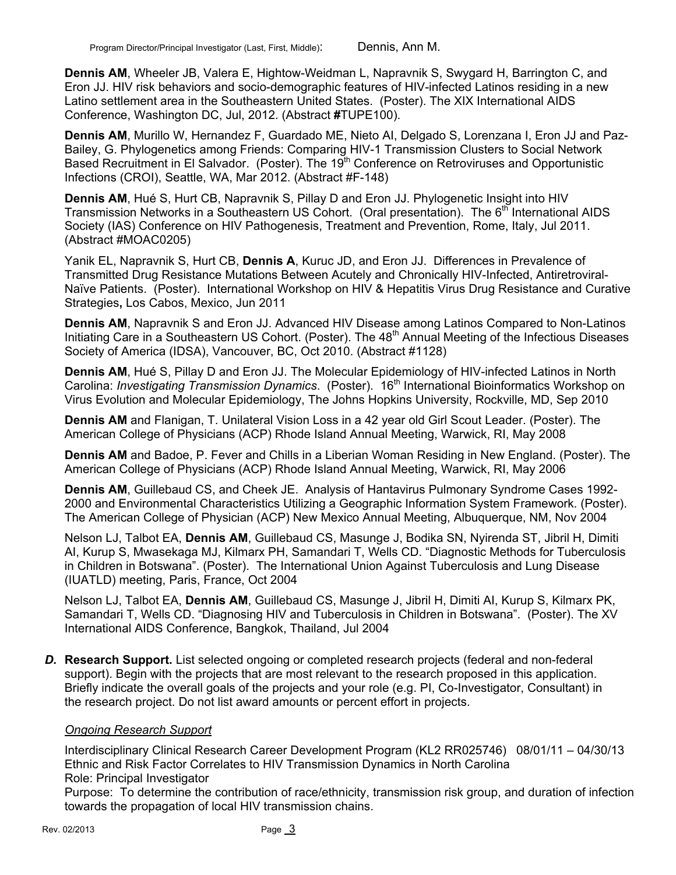**Dennis AM**, Wheeler JB, Valera E, Hightow-Weidman L, Napravnik S, Swygard H, Barrington C, and Eron JJ. HIV risk behaviors and socio-demographic features of HIV-infected Latinos residing in a new Latino settlement area in the Southeastern United States. (Poster). The XIX International AIDS Conference, Washington DC, Jul, 2012. (Abstract **#**TUPE100).

**Dennis AM**, Murillo W, Hernandez F, Guardado ME, Nieto AI, Delgado S, Lorenzana I, Eron JJ and Paz-Bailey, G. Phylogenetics among Friends: Comparing HIV-1 Transmission Clusters to Social Network Based Recruitment in El Salvador. (Poster). The 19<sup>th</sup> Conference on Retroviruses and Opportunistic Infections (CROI), Seattle, WA, Mar 2012. (Abstract #F-148)

**Dennis AM**, Hué S, Hurt CB, Napravnik S, Pillay D and Eron JJ. Phylogenetic Insight into HIV Transmission Networks in a Southeastern US Cohort. (Oral presentation). The 6<sup>th</sup> International AIDS Society (IAS) Conference on HIV Pathogenesis, Treatment and Prevention, Rome, Italy, Jul 2011. (Abstract #MOAC0205)

Yanik EL, Napravnik S, Hurt CB, **Dennis A**, Kuruc JD, and Eron JJ. Differences in Prevalence of Transmitted Drug Resistance Mutations Between Acutely and Chronically HIV-Infected, Antiretroviral-Naïve Patients. (Poster). International Workshop on HIV & Hepatitis Virus Drug Resistance and Curative Strategies**,** Los Cabos, Mexico, Jun 2011

**Dennis AM**, Napravnik S and Eron JJ. Advanced HIV Disease among Latinos Compared to Non-Latinos Initiating Care in a Southeastern US Cohort. (Poster). The 48<sup>th</sup> Annual Meeting of the Infectious Diseases Society of America (IDSA), Vancouver, BC, Oct 2010. (Abstract #1128)

**Dennis AM**, Hué S, Pillay D and Eron JJ. The Molecular Epidemiology of HIV-infected Latinos in North Carolina: *Investigating Transmission Dynamics*. (Poster). 16th International Bioinformatics Workshop on Virus Evolution and Molecular Epidemiology, The Johns Hopkins University, Rockville, MD, Sep 2010

**Dennis AM** and Flanigan, T. Unilateral Vision Loss in a 42 year old Girl Scout Leader. (Poster). The American College of Physicians (ACP) Rhode Island Annual Meeting, Warwick, RI, May 2008

**Dennis AM** and Badoe, P. Fever and Chills in a Liberian Woman Residing in New England. (Poster). The American College of Physicians (ACP) Rhode Island Annual Meeting, Warwick, RI, May 2006

**Dennis AM**, Guillebaud CS, and Cheek JE. Analysis of Hantavirus Pulmonary Syndrome Cases 1992- 2000 and Environmental Characteristics Utilizing a Geographic Information System Framework. (Poster). The American College of Physician (ACP) New Mexico Annual Meeting, Albuquerque, NM, Nov 2004

Nelson LJ, Talbot EA, **Dennis AM**, Guillebaud CS, Masunge J, Bodika SN, Nyirenda ST, Jibril H, Dimiti AI, Kurup S, Mwasekaga MJ, Kilmarx PH, Samandari T, Wells CD. "Diagnostic Methods for Tuberculosis in Children in Botswana". (Poster). The International Union Against Tuberculosis and Lung Disease (IUATLD) meeting, Paris, France, Oct 2004

Nelson LJ, Talbot EA, **Dennis AM**, Guillebaud CS, Masunge J, Jibril H, Dimiti AI, Kurup S, Kilmarx PK, Samandari T, Wells CD. "Diagnosing HIV and Tuberculosis in Children in Botswana". (Poster). The XV International AIDS Conference, Bangkok, Thailand, Jul 2004

*D.* **Research Support.** List selected ongoing or completed research projects (federal and non-federal support). Begin with the projects that are most relevant to the research proposed in this application. Briefly indicate the overall goals of the projects and your role (e.g. PI, Co-Investigator, Consultant) in the research project. Do not list award amounts or percent effort in projects.

### *Ongoing Research Support*

Interdisciplinary Clinical Research Career Development Program (KL2 RR025746) 08/01/11 – 04/30/13 Ethnic and Risk Factor Correlates to HIV Transmission Dynamics in North Carolina Role: Principal Investigator

Purpose: To determine the contribution of race/ethnicity, transmission risk group, and duration of infection towards the propagation of local HIV transmission chains.